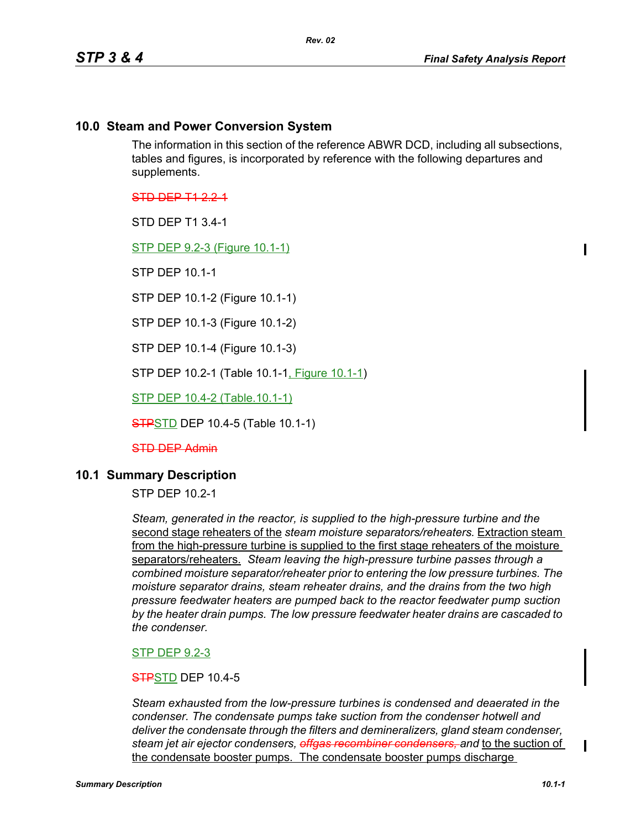# **10.0 Steam and Power Conversion System**

The information in this section of the reference ABWR DCD, including all subsections, tables and figures, is incorporated by reference with the following departures and supplements.

STD DEP T1 2.2-1

STD DEP T1 3.4-1

STP DEP 9.2-3 (Figure 10.1-1)

STP DEP 10.1-1

STP DEP 10.1-2 (Figure 10.1-1)

STP DEP 10.1-3 (Figure 10.1-2)

STP DEP 10.1-4 (Figure 10.1-3)

STP DEP 10.2-1 (Table 10.1-1, Figure 10.1-1)

STP DEP 10.4-2 (Table.10.1-1)

**STPSTD DEP 10.4-5 (Table 10.1-1)** 

STD DEP Admin

## **10.1 Summary Description**

STP DEP 10.2-1

*Steam, generated in the reactor, is supplied to the high-pressure turbine and the*  second stage reheaters of the *steam moisture separators/reheaters.* Extraction steam from the high-pressure turbine is supplied to the first stage reheaters of the moisture separators/reheaters. *Steam leaving the high-pressure turbine passes through a combined moisture separator/reheater prior to entering the low pressure turbines. The moisture separator drains, steam reheater drains, and the drains from the two high pressure feedwater heaters are pumped back to the reactor feedwater pump suction by the heater drain pumps. The low pressure feedwater heater drains are cascaded to the condenser.*

### STP DEP 9.2-3

### **STPSTD DEP 10.4-5**

*Steam exhausted from the low-pressure turbines is condensed and deaerated in the condenser. The condensate pumps take suction from the condenser hotwell and deliver the condensate through the filters and demineralizers, gland steam condenser, steam jet air ejector condensers, offgas recombiner condensers, and* to the suction of the condensate booster pumps. The condensate booster pumps discharge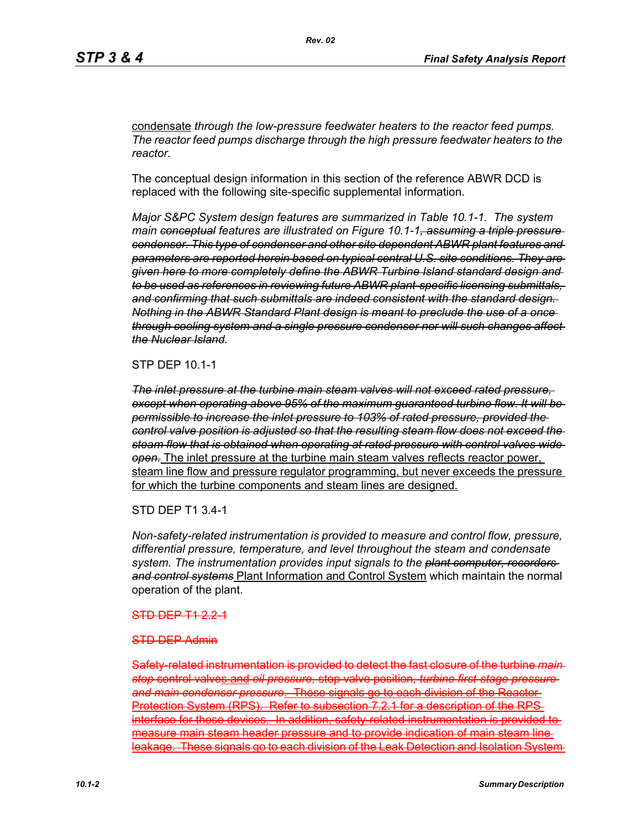condensate *through the low-pressure feedwater heaters to the reactor feed pumps. The reactor feed pumps discharge through the high pressure feedwater heaters to the reactor.*

The conceptual design information in this section of the reference ABWR DCD is replaced with the following site-specific supplemental information.

*Rev. 02*

*Major S&PC System design features are summarized in Table 10.1-1. The system main conceptual features are illustrated on Figure 10.1-1, assuming a triple pressure condenser. This type of condenser and other site dependent ABWR plant features and parameters are reported herein based on typical central U.S. site conditions. They are given here to more completely define the ABWR Turbine Island standard design and to be used as references in reviewing future ABWR plant-specific licensing submittals, and confirming that such submittals are indeed consistent with the standard design. Nothing in the ABWR Standard Plant design is meant to preclude the use of a once through cooling system and a single pressure condenser nor will such changes affect the Nuclear Island.*

## STP DEP 10.1-1

*The inlet pressure at the turbine main steam valves will not exceed rated pressure, except when operating above 95% of the maximum guaranteed turbine flow. It will be permissible to increase the inlet pressure to 103% of rated pressure, provided the control valve position is adjusted so that the resulting steam flow does not exceed the steam flow that is obtained when operating at rated pressure with control valves wide open.* The inlet pressure at the turbine main steam valves reflects reactor power, steam line flow and pressure regulator programming, but never exceeds the pressure for which the turbine components and steam lines are designed.

### STD DEP T1 3.4-1

*Non-safety-related instrumentation is provided to measure and control flow, pressure, differential pressure, temperature, and level throughout the steam and condensate system. The instrumentation provides input signals to the plant computer, recorders and control systems* Plant Information and Control System which maintain the normal operation of the plant.

#### STD DEP T1 2.2-1

#### STD DEP Admin

Safety-related instrumentation is provided to detect the fast closure of the turbine *main stop* control valves and *oil pressure,* stop valve position*, turbine first-stage pressure and main condenser pressure*. These signals go to each division of the Reactor Protection System (RPS). Refer to subsection 7.2.1 for a description of the RPS interface for these devices. In addition, safety-related instrumentation is provided to measure main steam header pressure and to provide indication of main steam line leakage. These signals go to each division of the Leak Detection and Isolation System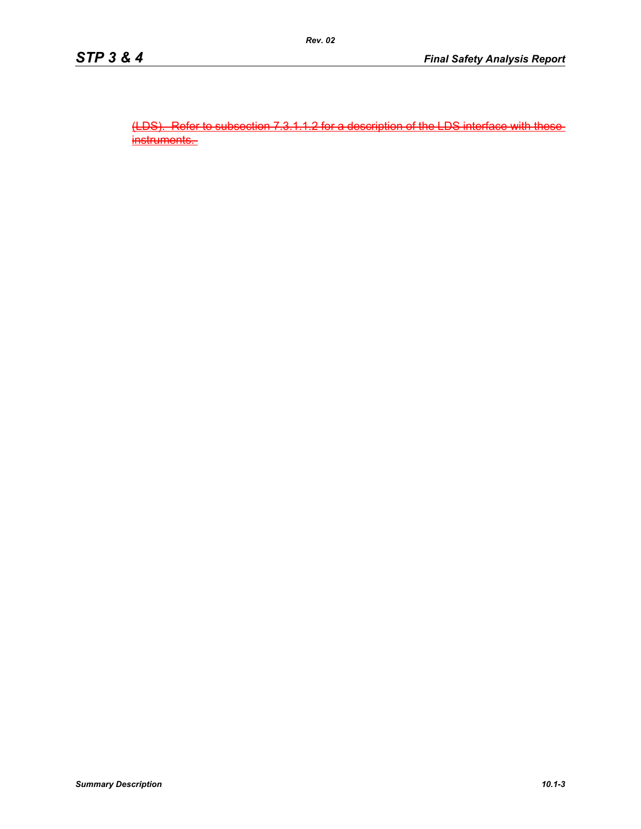(LDS). Refer to subsection 7.3.1.1.2 for a description of the LDS interface with these instruments.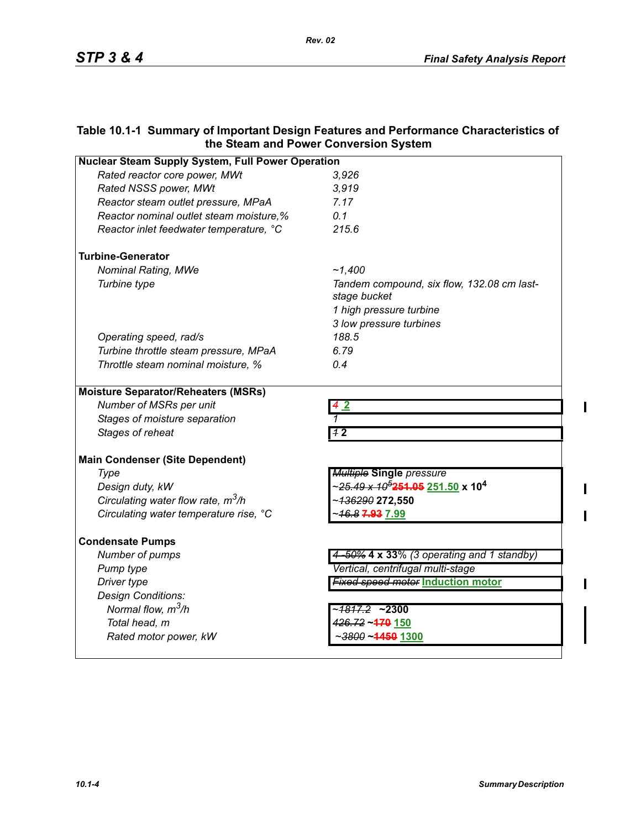# **Table 10.1-1 Summary of Important Design Features and Performance Characteristics of the Steam and Power Conversion System**

| <b>Nuclear Steam Supply System, Full Power Operation</b> |                                                            |
|----------------------------------------------------------|------------------------------------------------------------|
| Rated reactor core power, MWt                            | 3,926                                                      |
| Rated NSSS power, MWt                                    | 3,919                                                      |
| Reactor steam outlet pressure, MPaA                      | 7.17                                                       |
| Reactor nominal outlet steam moisture,%                  | 0.1                                                        |
| Reactor inlet feedwater temperature, °C                  | 215.6                                                      |
| <b>Turbine-Generator</b>                                 |                                                            |
| <b>Nominal Rating, MWe</b>                               | ~1,400                                                     |
| Turbine type                                             | Tandem compound, six flow, 132.08 cm last-<br>stage bucket |
|                                                          | 1 high pressure turbine                                    |
|                                                          | 3 low pressure turbines                                    |
| Operating speed, rad/s                                   | 188.5                                                      |
| Turbine throttle steam pressure, MPaA                    | 6.79                                                       |
| Throttle steam nominal moisture, %                       | 0.4                                                        |
| <b>Moisture Separator/Reheaters (MSRs)</b>               |                                                            |
| Number of MSRs per unit                                  | $4\,2$                                                     |
| Stages of moisture separation                            | 1                                                          |
| Stages of reheat                                         | 72                                                         |
| <b>Main Condenser (Site Dependent)</b>                   |                                                            |
| Type                                                     | <b>Multiple Single pressure</b>                            |
| Design duty, kW                                          |                                                            |
| Circulating water flow rate, $m^3/h$                     | ~136290 272,550                                            |
| Circulating water temperature rise, °C                   | 16.8 7.93 7.99                                             |
| <b>Condensate Pumps</b>                                  |                                                            |
| Number of pumps                                          | 4-50% 4 x 33% (3 operating and 1 standby)                  |
| Pump type                                                | Vertical, centrifugal multi-stage                          |
| Driver type                                              | <b>Fixed speed motor Induction motor</b>                   |
| <b>Design Conditions:</b>                                |                                                            |
| Normal flow, $m^3/h$                                     | ~ <del>1817.2</del> <b>~2300</b>                           |
| Total head, m                                            | 426.72~470 150                                             |
| Rated motor power, kW                                    | -3800 ~4450 1300                                           |
|                                                          |                                                            |

 $\mathbf I$ 

 $\mathbf{I}$ 

 $\blacksquare$ 

 $\mathbf I$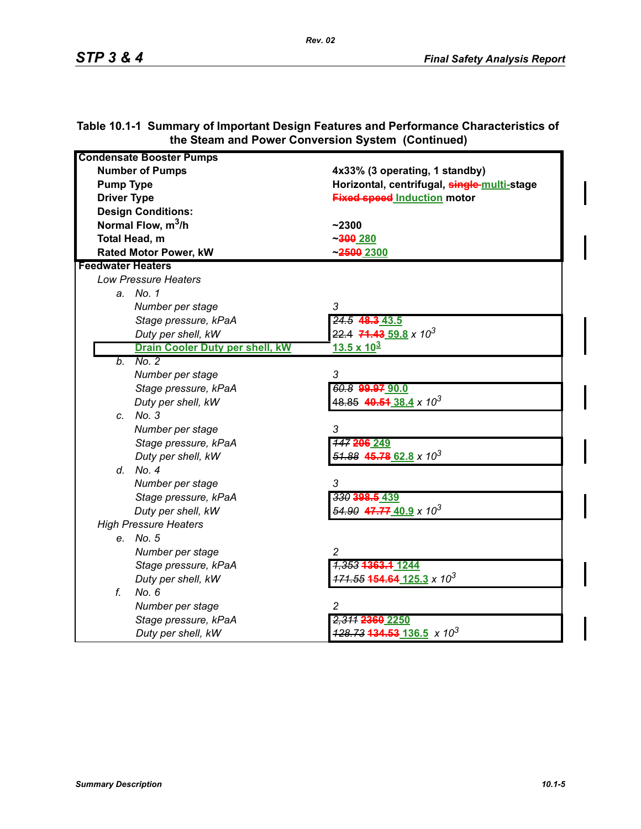|                                        | the Steam and Fower Conversion System (Continued)       |
|----------------------------------------|---------------------------------------------------------|
| <b>Condensate Booster Pumps</b>        |                                                         |
| <b>Number of Pumps</b>                 | 4x33% (3 operating, 1 standby)                          |
| <b>Pump Type</b>                       | Horizontal, centrifugal, single-multi-stage             |
| <b>Driver Type</b>                     | <b>Fixed speed Induction motor</b>                      |
| <b>Design Conditions:</b>              |                                                         |
| Normal Flow, m <sup>3</sup> /h         | $-2300$                                                 |
| Total Head, m                          | $-300280$                                               |
| <b>Rated Motor Power, kW</b>           | $-250022300$                                            |
| <b>Feedwater Heaters</b>               |                                                         |
| <b>Low Pressure Heaters</b>            |                                                         |
| a. No. 1                               |                                                         |
| Number per stage                       | 3                                                       |
| Stage pressure, kPaA                   | 24.5 48.3 43.5                                          |
| Duty per shell, kW                     | 22.4 71.43 59.8 x 10 <sup>3</sup>                       |
| <b>Drain Cooler Duty per shell, kW</b> | <u>13.5 x 10<sup>3</sup></u>                            |
| No. 2<br>b.                            |                                                         |
| Number per stage                       | 3                                                       |
| Stage pressure, kPaA                   | 60.8 99.97 90.0                                         |
| Duty per shell, kW                     | 48.85 40.51 38.4 x 10 <sup>3</sup>                      |
| c. No. 3                               |                                                         |
| Number per stage                       | 3                                                       |
| Stage pressure, kPaA                   | 147 206 249                                             |
| Duty per shell, kW                     | $51.88$ 45.78 62.8 x 10 <sup>3</sup>                    |
| d. No. 4                               |                                                         |
| Number per stage                       | 3                                                       |
| Stage pressure, kPaA                   | 330 398.5 439                                           |
| Duty per shell, kW                     | $\frac{54.90}{47.774}$ 40.9 x 10 <sup>3</sup>           |
| <b>High Pressure Heaters</b>           |                                                         |
| e. No. 5                               |                                                         |
| Number per stage                       | $\overline{c}$                                          |
| Stage pressure, kPaA                   | <del>1,353</del> <del>1363.1</del> 1244                 |
| Duty per shell, kW                     | <del>171.55</del> <b>154.64</b> 125.3 x 10 <sup>3</sup> |
| f.<br>No. 6                            |                                                         |
| Number per stage                       | 2                                                       |
| Stage pressure, kPaA                   | 2,311 2360 2250                                         |
| Duty per shell, kW                     | $+28.73$ <b>134.53</b> 136.5 x 10 <sup>3</sup>          |

## **Table 10.1-1 Summary of Important Design Features and Performance Characteristics of the Steam and Power Conversion System (Continued)**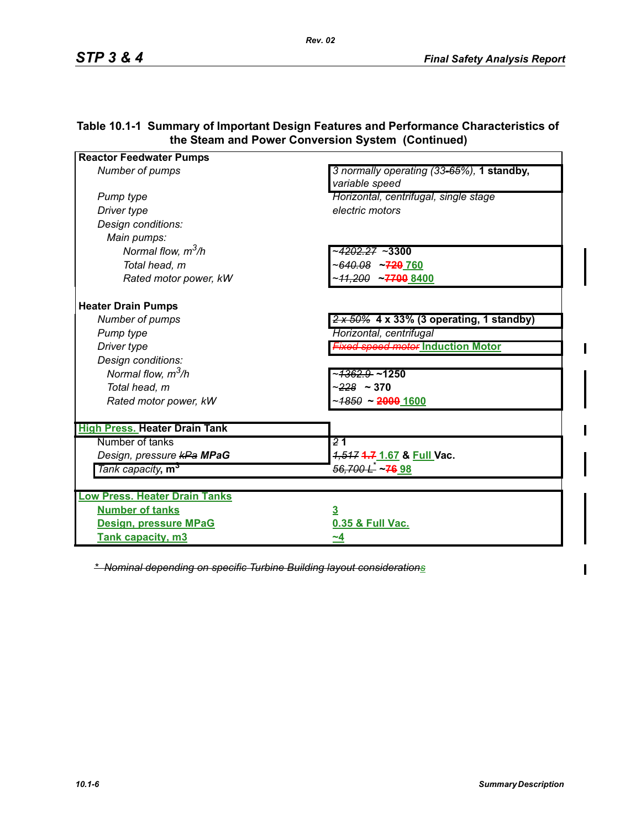| <b>Reactor Feedwater Pumps</b>       |                                                             |
|--------------------------------------|-------------------------------------------------------------|
| Number of pumps                      | 3 normally operating (33-65%), 1 standby,<br>variable speed |
| Pump type                            | Horizontal, centrifugal, single stage                       |
| Driver type                          | electric motors                                             |
| Design conditions:                   |                                                             |
| Main pumps:                          |                                                             |
| Normal flow, $m^3/h$                 | ~ <del>4202.27</del> ~3300                                  |
| Total head, m                        | ~640.08 ~ <del>720</del> .760                               |
| Rated motor power, kW                | $-77008400$<br><del>11,200</del>                            |
| <b>Heater Drain Pumps</b>            |                                                             |
| Number of pumps                      | $2 \times 50\%$ 4 x 33% (3 operating, 1 standby)            |
| Pump type                            | Horizontal, centrifugal                                     |
| Driver type                          | <b>Fixed speed motor Induction Motor</b>                    |
| Design conditions:                   |                                                             |
| Normal flow, $m^3/h$                 | ~ <del>1362.9 </del> ~1250                                  |
| Total head, m                        | $-228 - 370$                                                |
| Rated motor power, kW                | ~ <del>1850</del> ~ <del>2000</del> 1600                    |
| <b>High Press. Heater Drain Tank</b> |                                                             |
| Number of tanks                      | 21                                                          |
| Design, pressure kPa MPaG            | 1,517 4.7 1.67 & Full Vac.                                  |
| Tank capacity, m <sup>3</sup>        | $56,700 L^2 \sim 7698$                                      |
| <b>Low Press. Heater Drain Tanks</b> |                                                             |
| <b>Number of tanks</b>               | $\overline{3}$                                              |
| <b>Design, pressure MPaG</b>         | 0.35 & Full Vac.                                            |
| <b>Tank capacity, m3</b>             | ~4                                                          |

## **Table 10.1-1 Summary of Important Design Features and Performance Characteristics of the Steam and Power Conversion System (Continued)**

*\* Nominal depending on specific Turbine Building layout considerations*

 $\mathbf I$ 

 $\blacksquare$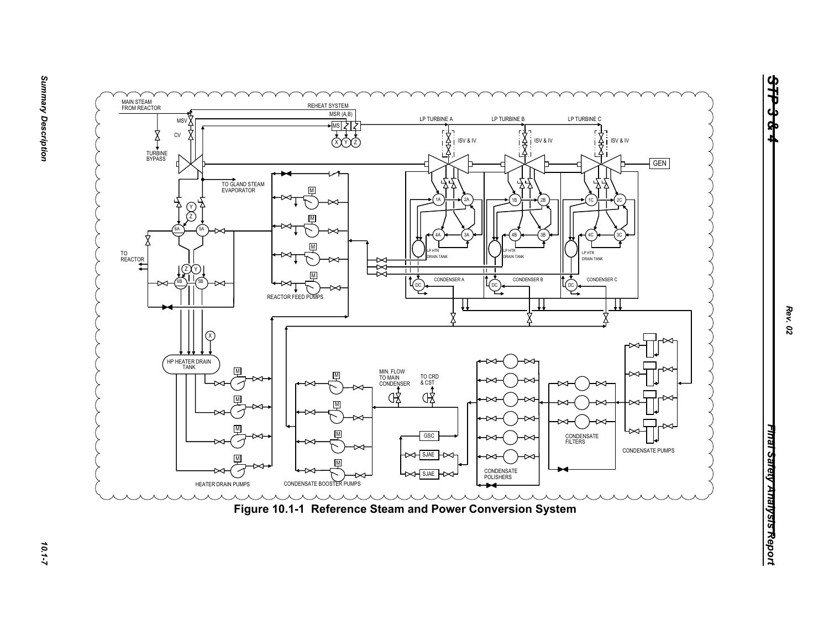